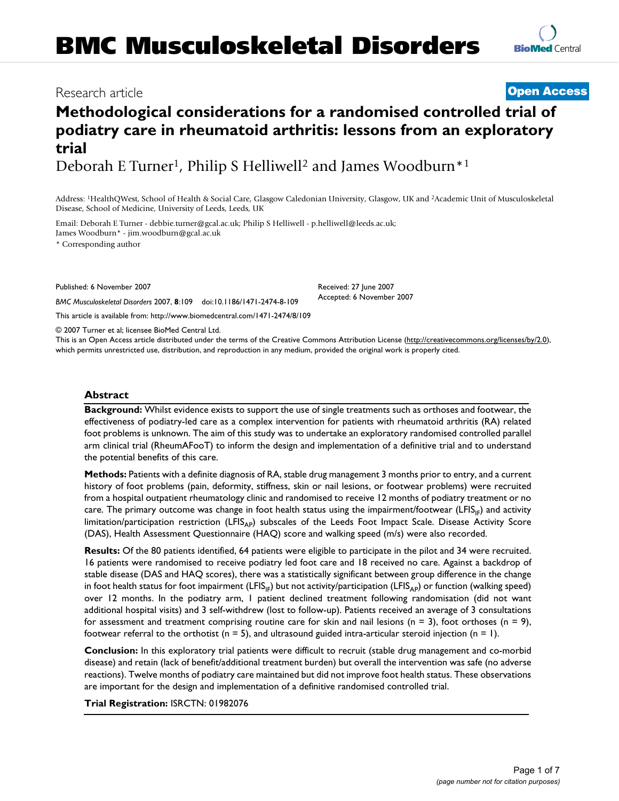# **Methodological considerations for a randomised controlled trial of podiatry care in rheumatoid arthritis: lessons from an exploratory trial**

Deborah E Turner<sup>1</sup>, Philip S Helliwell<sup>2</sup> and James Woodburn<sup>\*1</sup>

Address: 1HealthQWest, School of Health & Social Care, Glasgow Caledonian University, Glasgow, UK and 2Academic Unit of Musculoskeletal Disease, School of Medicine, University of Leeds, Leeds, UK

Email: Deborah E Turner - debbie.turner@gcal.ac.uk; Philip S Helliwell - p.helliwell@leeds.ac.uk; James Woodburn\* - jim.woodburn@gcal.ac.uk

\* Corresponding author

Published: 6 November 2007

*BMC Musculoskeletal Disorders* 2007, **8**:109 doi:10.1186/1471-2474-8-109

[This article is available from: http://www.biomedcentral.com/1471-2474/8/109](http://www.biomedcentral.com/1471-2474/8/109)

© 2007 Turner et al; licensee BioMed Central Ltd.

This is an Open Access article distributed under the terms of the Creative Commons Attribution License [\(http://creativecommons.org/licenses/by/2.0\)](http://creativecommons.org/licenses/by/2.0), which permits unrestricted use, distribution, and reproduction in any medium, provided the original work is properly cited.

## **Abstract**

**Background:** Whilst evidence exists to support the use of single treatments such as orthoses and footwear, the effectiveness of podiatry-led care as a complex intervention for patients with rheumatoid arthritis (RA) related foot problems is unknown. The aim of this study was to undertake an exploratory randomised controlled parallel arm clinical trial (RheumAFooT) to inform the design and implementation of a definitive trial and to understand the potential benefits of this care.

**Methods:** Patients with a definite diagnosis of RA, stable drug management 3 months prior to entry, and a current history of foot problems (pain, deformity, stiffness, skin or nail lesions, or footwear problems) were recruited from a hospital outpatient rheumatology clinic and randomised to receive 12 months of podiatry treatment or no care. The primary outcome was change in foot health status using the impairment/footwear (LFIS<sub>IF</sub>) and activity limitation/participation restriction (LFIS<sub>AP</sub>) subscales of the Leeds Foot Impact Scale. Disease Activity Score (DAS), Health Assessment Questionnaire (HAQ) score and walking speed (m/s) were also recorded.

**Results:** Of the 80 patients identified, 64 patients were eligible to participate in the pilot and 34 were recruited. 16 patients were randomised to receive podiatry led foot care and 18 received no care. Against a backdrop of stable disease (DAS and HAQ scores), there was a statistically significant between group difference in the change in foot health status for foot impairment (LFIS<sub>IF</sub>) but not activity/participation (LFIS<sub>AP</sub>) or function (walking speed) over 12 months. In the podiatry arm, 1 patient declined treatment following randomisation (did not want additional hospital visits) and 3 self-withdrew (lost to follow-up). Patients received an average of 3 consultations for assessment and treatment comprising routine care for skin and nail lesions ( $n = 3$ ), foot orthoses ( $n = 9$ ), footwear referral to the orthotist ( $n = 5$ ), and ultrasound guided intra-articular steroid injection ( $n = 1$ ).

**Conclusion:** In this exploratory trial patients were difficult to recruit (stable drug management and co-morbid disease) and retain (lack of benefit/additional treatment burden) but overall the intervention was safe (no adverse reactions). Twelve months of podiatry care maintained but did not improve foot health status. These observations are important for the design and implementation of a definitive randomised controlled trial.

**Trial Registration:** ISRCTN: 01982076

Received: 27 June 2007 Accepted: 6 November 2007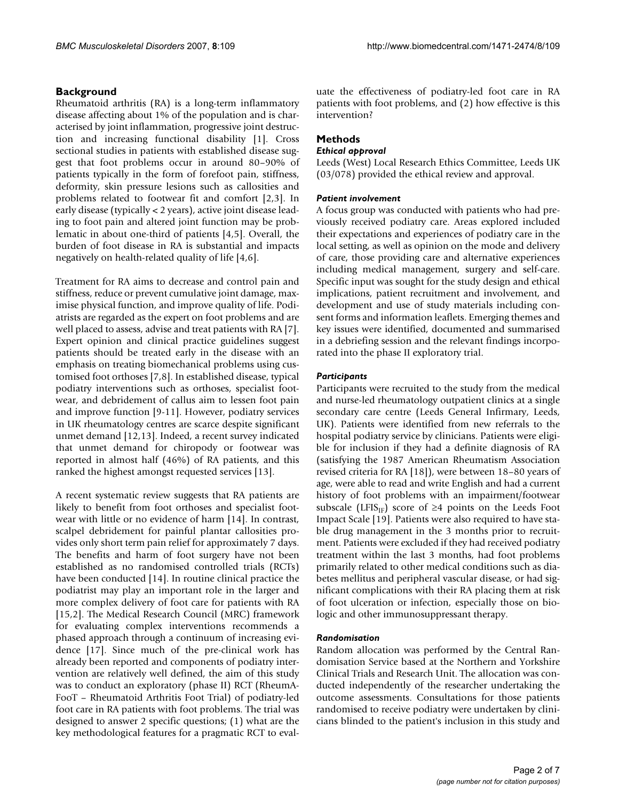## **Background**

Rheumatoid arthritis (RA) is a long-term inflammatory disease affecting about 1% of the population and is characterised by joint inflammation, progressive joint destruction and increasing functional disability [1]. Cross sectional studies in patients with established disease suggest that foot problems occur in around 80–90% of patients typically in the form of forefoot pain, stiffness, deformity, skin pressure lesions such as callosities and problems related to footwear fit and comfort [2,3]. In early disease (typically < 2 years), active joint disease leading to foot pain and altered joint function may be problematic in about one-third of patients [4,5]. Overall, the burden of foot disease in RA is substantial and impacts negatively on health-related quality of life [4,6].

Treatment for RA aims to decrease and control pain and stiffness, reduce or prevent cumulative joint damage, maximise physical function, and improve quality of life. Podiatrists are regarded as the expert on foot problems and are well placed to assess, advise and treat patients with RA [7]. Expert opinion and clinical practice guidelines suggest patients should be treated early in the disease with an emphasis on treating biomechanical problems using customised foot orthoses [7,8]. In established disease, typical podiatry interventions such as orthoses, specialist footwear, and debridement of callus aim to lessen foot pain and improve function [9-11]. However, podiatry services in UK rheumatology centres are scarce despite significant unmet demand [12,13]. Indeed, a recent survey indicated that unmet demand for chiropody or footwear was reported in almost half (46%) of RA patients, and this ranked the highest amongst requested services [13].

A recent systematic review suggests that RA patients are likely to benefit from foot orthoses and specialist footwear with little or no evidence of harm [14]. In contrast, scalpel debridement for painful plantar callosities provides only short term pain relief for approximately 7 days. The benefits and harm of foot surgery have not been established as no randomised controlled trials (RCTs) have been conducted [14]. In routine clinical practice the podiatrist may play an important role in the larger and more complex delivery of foot care for patients with RA [15,2]. The Medical Research Council (MRC) framework for evaluating complex interventions recommends a phased approach through a continuum of increasing evidence [17]. Since much of the pre-clinical work has already been reported and components of podiatry intervention are relatively well defined, the aim of this study was to conduct an exploratory (phase II) RCT (RheumA-FooT – Rheumatoid Arthritis Foot Trial) of podiatry-led foot care in RA patients with foot problems. The trial was designed to answer 2 specific questions; (1) what are the key methodological features for a pragmatic RCT to evaluate the effectiveness of podiatry-led foot care in RA patients with foot problems, and (2) how effective is this intervention?

## **Methods**

### *Ethical approval*

Leeds (West) Local Research Ethics Committee, Leeds UK (03/078) provided the ethical review and approval.

#### *Patient involvement*

A focus group was conducted with patients who had previously received podiatry care. Areas explored included their expectations and experiences of podiatry care in the local setting, as well as opinion on the mode and delivery of care, those providing care and alternative experiences including medical management, surgery and self-care. Specific input was sought for the study design and ethical implications, patient recruitment and involvement, and development and use of study materials including consent forms and information leaflets. Emerging themes and key issues were identified, documented and summarised in a debriefing session and the relevant findings incorporated into the phase II exploratory trial.

#### *Participants*

Participants were recruited to the study from the medical and nurse-led rheumatology outpatient clinics at a single secondary care centre (Leeds General Infirmary, Leeds, UK). Patients were identified from new referrals to the hospital podiatry service by clinicians. Patients were eligible for inclusion if they had a definite diagnosis of RA (satisfying the 1987 American Rheumatism Association revised criteria for RA [18]), were between 18–80 years of age, were able to read and write English and had a current history of foot problems with an impairment/footwear subscale (LFIS<sub>IF</sub>) score of ≥4 points on the Leeds Foot Impact Scale [19]. Patients were also required to have stable drug management in the 3 months prior to recruitment. Patients were excluded if they had received podiatry treatment within the last 3 months, had foot problems primarily related to other medical conditions such as diabetes mellitus and peripheral vascular disease, or had significant complications with their RA placing them at risk of foot ulceration or infection, especially those on biologic and other immunosuppressant therapy.

#### *Randomisation*

Random allocation was performed by the Central Randomisation Service based at the Northern and Yorkshire Clinical Trials and Research Unit. The allocation was conducted independently of the researcher undertaking the outcome assessments. Consultations for those patients randomised to receive podiatry were undertaken by clinicians blinded to the patient's inclusion in this study and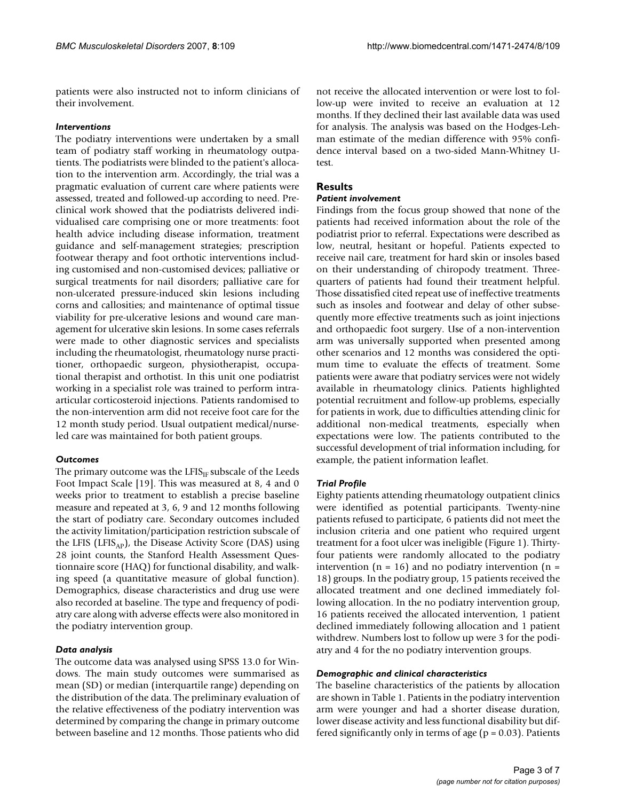patients were also instructed not to inform clinicians of their involvement.

### *Interventions*

The podiatry interventions were undertaken by a small team of podiatry staff working in rheumatology outpatients. The podiatrists were blinded to the patient's allocation to the intervention arm. Accordingly, the trial was a pragmatic evaluation of current care where patients were assessed, treated and followed-up according to need. Preclinical work showed that the podiatrists delivered individualised care comprising one or more treatments: foot health advice including disease information, treatment guidance and self-management strategies; prescription footwear therapy and foot orthotic interventions including customised and non-customised devices; palliative or surgical treatments for nail disorders; palliative care for non-ulcerated pressure-induced skin lesions including corns and callosities; and maintenance of optimal tissue viability for pre-ulcerative lesions and wound care management for ulcerative skin lesions. In some cases referrals were made to other diagnostic services and specialists including the rheumatologist, rheumatology nurse practitioner, orthopaedic surgeon, physiotherapist, occupational therapist and orthotist. In this unit one podiatrist working in a specialist role was trained to perform intraarticular corticosteroid injections. Patients randomised to the non-intervention arm did not receive foot care for the 12 month study period. Usual outpatient medical/nurseled care was maintained for both patient groups.

## *Outcomes*

The primary outcome was the  $LFIS_{IF}$  subscale of the Leeds Foot Impact Scale [19]. This was measured at 8, 4 and 0 weeks prior to treatment to establish a precise baseline measure and repeated at 3, 6, 9 and 12 months following the start of podiatry care. Secondary outcomes included the activity limitation/participation restriction subscale of the LFIS (LFIS<sub>AP</sub>), the Disease Activity Score (DAS) using 28 joint counts, the Stanford Health Assessment Questionnaire score (HAQ) for functional disability, and walking speed (a quantitative measure of global function). Demographics, disease characteristics and drug use were also recorded at baseline. The type and frequency of podiatry care along with adverse effects were also monitored in the podiatry intervention group.

## *Data analysis*

The outcome data was analysed using SPSS 13.0 for Windows. The main study outcomes were summarised as mean (SD) or median (interquartile range) depending on the distribution of the data. The preliminary evaluation of the relative effectiveness of the podiatry intervention was determined by comparing the change in primary outcome between baseline and 12 months. Those patients who did not receive the allocated intervention or were lost to follow-up were invited to receive an evaluation at 12 months. If they declined their last available data was used for analysis. The analysis was based on the Hodges-Lehman estimate of the median difference with 95% confidence interval based on a two-sided Mann-Whitney Utest.

# **Results**

## *Patient involvement*

Findings from the focus group showed that none of the patients had received information about the role of the podiatrist prior to referral. Expectations were described as low, neutral, hesitant or hopeful. Patients expected to receive nail care, treatment for hard skin or insoles based on their understanding of chiropody treatment. Threequarters of patients had found their treatment helpful. Those dissatisfied cited repeat use of ineffective treatments such as insoles and footwear and delay of other subsequently more effective treatments such as joint injections and orthopaedic foot surgery. Use of a non-intervention arm was universally supported when presented among other scenarios and 12 months was considered the optimum time to evaluate the effects of treatment. Some patients were aware that podiatry services were not widely available in rheumatology clinics. Patients highlighted potential recruitment and follow-up problems, especially for patients in work, due to difficulties attending clinic for additional non-medical treatments, especially when expectations were low. The patients contributed to the successful development of trial information including, for example, the patient information leaflet.

## *Trial Profile*

Eighty patients attending rheumatology outpatient clinics were identified as potential participants. Twenty-nine patients refused to participate, 6 patients did not meet the inclusion criteria and one patient who required urgent treatment for a foot ulcer was ineligible (Figure 1). Thirtyfour patients were randomly allocated to the podiatry intervention ( $n = 16$ ) and no podiatry intervention ( $n =$ 18) groups. In the podiatry group, 15 patients received the allocated treatment and one declined immediately following allocation. In the no podiatry intervention group, 16 patients received the allocated intervention, 1 patient declined immediately following allocation and 1 patient withdrew. Numbers lost to follow up were 3 for the podiatry and 4 for the no podiatry intervention groups.

## *Demographic and clinical characteristics*

The baseline characteristics of the patients by allocation are shown in Table 1. Patients in the podiatry intervention arm were younger and had a shorter disease duration, lower disease activity and less functional disability but differed significantly only in terms of age ( $p = 0.03$ ). Patients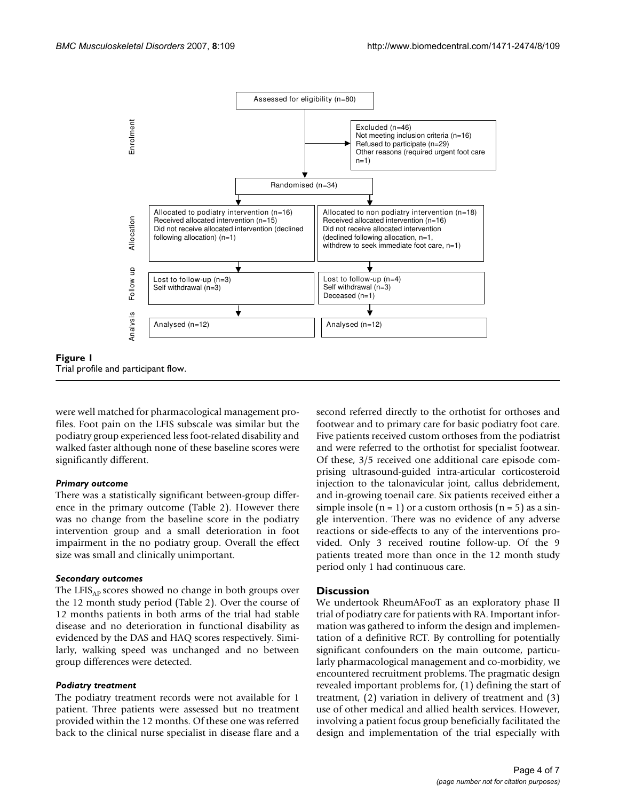

were well matched for pharmacological management profiles. Foot pain on the LFIS subscale was similar but the podiatry group experienced less foot-related disability and walked faster although none of these baseline scores were significantly different.

#### *Primary outcome*

There was a statistically significant between-group difference in the primary outcome (Table 2). However there was no change from the baseline score in the podiatry intervention group and a small deterioration in foot impairment in the no podiatry group. Overall the effect size was small and clinically unimportant.

#### *Secondary outcomes*

The LFIS $_{AP}$  scores showed no change in both groups over the 12 month study period (Table 2). Over the course of 12 months patients in both arms of the trial had stable disease and no deterioration in functional disability as evidenced by the DAS and HAQ scores respectively. Similarly, walking speed was unchanged and no between group differences were detected.

#### *Podiatry treatment*

The podiatry treatment records were not available for 1 patient. Three patients were assessed but no treatment provided within the 12 months. Of these one was referred back to the clinical nurse specialist in disease flare and a second referred directly to the orthotist for orthoses and footwear and to primary care for basic podiatry foot care. Five patients received custom orthoses from the podiatrist and were referred to the orthotist for specialist footwear. Of these, 3/5 received one additional care episode comprising ultrasound-guided intra-articular corticosteroid injection to the talonavicular joint, callus debridement, and in-growing toenail care. Six patients received either a simple insole  $(n = 1)$  or a custom orthosis  $(n = 5)$  as a single intervention. There was no evidence of any adverse reactions or side-effects to any of the interventions provided. Only 3 received routine follow-up. Of the 9 patients treated more than once in the 12 month study period only 1 had continuous care.

### **Discussion**

We undertook RheumAFooT as an exploratory phase II trial of podiatry care for patients with RA. Important information was gathered to inform the design and implementation of a definitive RCT. By controlling for potentially significant confounders on the main outcome, particularly pharmacological management and co-morbidity, we encountered recruitment problems. The pragmatic design revealed important problems for, (1) defining the start of treatment, (2) variation in delivery of treatment and (3) use of other medical and allied health services. However, involving a patient focus group beneficially facilitated the design and implementation of the trial especially with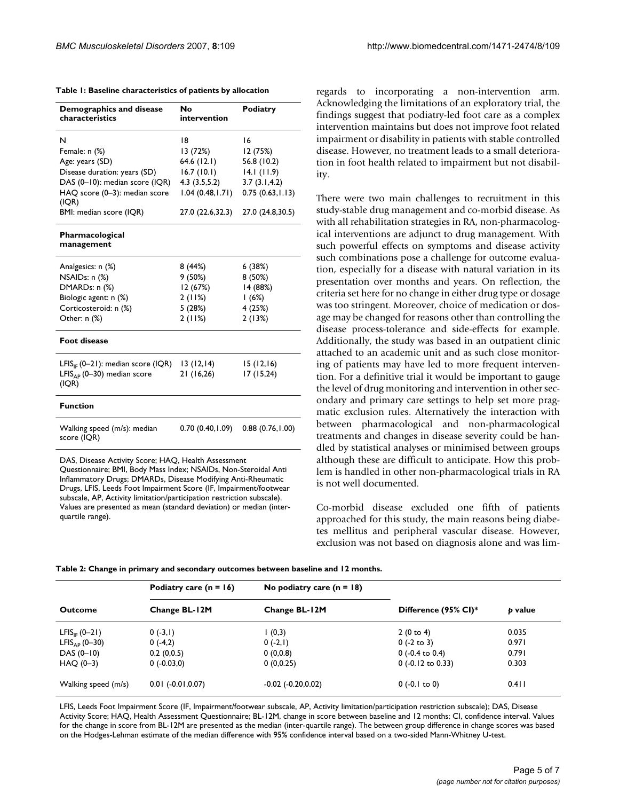| Table 1: Baseline characteristics of patients by allocation |  |
|-------------------------------------------------------------|--|
|-------------------------------------------------------------|--|

| Demographics and disease<br>characteristics     | No<br>intervention | <b>Podiatry</b>  |  |  |  |
|-------------------------------------------------|--------------------|------------------|--|--|--|
| N                                               | 18                 | 16               |  |  |  |
| Female: n (%)                                   | I3 (72%)           | 12 (75%)         |  |  |  |
| Age: years (SD)                                 | 64.6 (12.1)        | 56.8 (10.2)      |  |  |  |
| Disease duration: years (SD)                    | 16.7(10.1)         | 14.1(11.9)       |  |  |  |
| DAS (0-10): median score (IQR)                  | 4.3(3.5,5.2)       | 3.7(3.1, 4.2)    |  |  |  |
| HAQ score (0-3): median score<br>(IQR)          | 1.04(0.48, 1.71)   | 0.75(0.63, 1.13) |  |  |  |
| BMI: median score (IQR)                         | 27.0 (22.6,32.3)   | 27.0 (24.8,30.5) |  |  |  |
| Pharmacological<br>management                   |                    |                  |  |  |  |
| Analgesics: n (%)                               | 8 (44%)            | 6(38%)           |  |  |  |
| NSAIDs: n (%)                                   | 9(50%)             | 8(50%)           |  |  |  |
| DMARDs: n (%)                                   | 12 (67%)           | 14 (88%)         |  |  |  |
| Biologic agent: n (%)                           | 2(11%)             | 1(6%)            |  |  |  |
| Corticosteroid: n (%)                           | 5 (28%)            | 4 (25%)          |  |  |  |
| Other: $n$ $%$                                  | 2(11%)             | 2(13%)           |  |  |  |
| <b>Foot disease</b>                             |                    |                  |  |  |  |
| LFIS <sub>IE</sub> (0–21): median score (IQR)   | 13(12,14)          | 15(12,16)        |  |  |  |
| LFIS <sub>AP</sub> (0-30) median score<br>(IQR) | 21 (16,26)         | 17(15,24)        |  |  |  |
| <b>Function</b>                                 |                    |                  |  |  |  |
| Walking speed (m/s): median<br>score (IQR)      | 0.70 (0.40,1.09)   | 0.88(0.76, 1.00) |  |  |  |

DAS, Disease Activity Score; HAQ, Health Assessment

Questionnaire; BMI, Body Mass Index; NSAIDs, Non-Steroidal Anti Inflammatory Drugs; DMARDs, Disease Modifying Anti-Rheumatic Drugs, LFIS, Leeds Foot Impairment Score (IF, Impairment/footwear subscale, AP, Activity limitation/participation restriction subscale). Values are presented as mean (standard deviation) or median (interquartile range).

regards to incorporating a non-intervention arm. Acknowledging the limitations of an exploratory trial, the findings suggest that podiatry-led foot care as a complex intervention maintains but does not improve foot related impairment or disability in patients with stable controlled disease. However, no treatment leads to a small deterioration in foot health related to impairment but not disability.

There were two main challenges to recruitment in this study-stable drug management and co-morbid disease. As with all rehabilitation strategies in RA, non-pharmacological interventions are adjunct to drug management. With such powerful effects on symptoms and disease activity such combinations pose a challenge for outcome evaluation, especially for a disease with natural variation in its presentation over months and years. On reflection, the criteria set here for no change in either drug type or dosage was too stringent. Moreover, choice of medication or dosage may be changed for reasons other than controlling the disease process-tolerance and side-effects for example. Additionally, the study was based in an outpatient clinic attached to an academic unit and as such close monitoring of patients may have led to more frequent intervention. For a definitive trial it would be important to gauge the level of drug monitoring and intervention in other secondary and primary care settings to help set more pragmatic exclusion rules. Alternatively the interaction with between pharmacological and non-pharmacological treatments and changes in disease severity could be handled by statistical analyses or minimised between groups although these are difficult to anticipate. How this problem is handled in other non-pharmacological trials in RA is not well documented.

Co-morbid disease excluded one fifth of patients approached for this study, the main reasons being diabetes mellitus and peripheral vascular disease. However, exclusion was not based on diagnosis alone and was lim-

|                           | Podiatry care $(n = 16)$ | No podiatry care $(n = 18)$ |                      |         |  |
|---------------------------|--------------------------|-----------------------------|----------------------|---------|--|
| Outcome                   | Change BL-12M            | Change BL-12M               | Difference (95% CI)* | p value |  |
| $LFIS_{IF} (0-21)$        | $0(-3,1)$                | (0,3)                       | 2(0 to 4)            | 0.035   |  |
| LFIS <sub>AP</sub> (0-30) | $0(-4,2)$                | $0(-2,1)$                   | $0$ (-2 to 3)        | 0.971   |  |
| DAS (0-10)                | 0.2(0,0.5)               | 0(0,0.8)                    | $0$ (-0.4 to 0.4)    | 0.791   |  |
| HAO (0-3)                 | 0(.0.03,0)               | 0(0,0.25)                   | $0$ (-0.12 to 0.33)  | 0.303   |  |

Walking speed (m/s) 0.01 (-0.01,0.07) -0.02 (-0.20,0.02) 0 (-0.1 to 0) 0.411

|  |  |  |  | Table 2: Change in primary and secondary outcomes between baseline and 12 months. |  |  |  |
|--|--|--|--|-----------------------------------------------------------------------------------|--|--|--|
|  |  |  |  |                                                                                   |  |  |  |

LFIS, Leeds Foot Impairment Score (IF, Impairment/footwear subscale, AP, Activity limitation/participation restriction subscale); DAS, Disease Activity Score; HAQ, Health Assessment Questionnaire; BL-12M, change in score between baseline and 12 months; CI, confidence interval. Values for the change in score from BL-12M are presented as the median (inter-quartile range). The between group difference in change scores was based on the Hodges-Lehman estimate of the median difference with 95% confidence interval based on a two-sided Mann-Whitney U-test.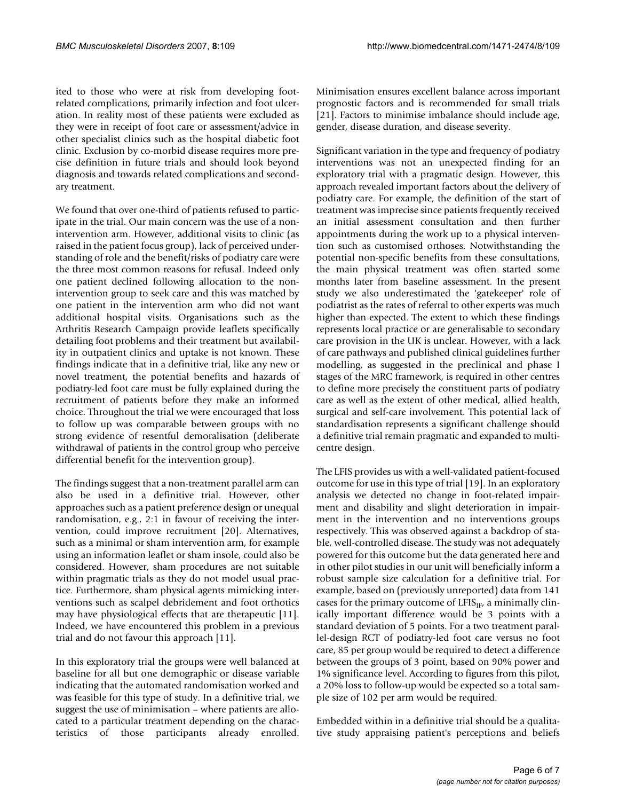ited to those who were at risk from developing footrelated complications, primarily infection and foot ulceration. In reality most of these patients were excluded as they were in receipt of foot care or assessment/advice in other specialist clinics such as the hospital diabetic foot clinic. Exclusion by co-morbid disease requires more precise definition in future trials and should look beyond diagnosis and towards related complications and secondary treatment.

We found that over one-third of patients refused to participate in the trial. Our main concern was the use of a nonintervention arm. However, additional visits to clinic (as raised in the patient focus group), lack of perceived understanding of role and the benefit/risks of podiatry care were the three most common reasons for refusal. Indeed only one patient declined following allocation to the nonintervention group to seek care and this was matched by one patient in the intervention arm who did not want additional hospital visits. Organisations such as the Arthritis Research Campaign provide leaflets specifically detailing foot problems and their treatment but availability in outpatient clinics and uptake is not known. These findings indicate that in a definitive trial, like any new or novel treatment, the potential benefits and hazards of podiatry-led foot care must be fully explained during the recruitment of patients before they make an informed choice. Throughout the trial we were encouraged that loss to follow up was comparable between groups with no strong evidence of resentful demoralisation (deliberate withdrawal of patients in the control group who perceive differential benefit for the intervention group).

The findings suggest that a non-treatment parallel arm can also be used in a definitive trial. However, other approaches such as a patient preference design or unequal randomisation, e.g., 2:1 in favour of receiving the intervention, could improve recruitment [20]. Alternatives, such as a minimal or sham intervention arm, for example using an information leaflet or sham insole, could also be considered. However, sham procedures are not suitable within pragmatic trials as they do not model usual practice. Furthermore, sham physical agents mimicking interventions such as scalpel debridement and foot orthotics may have physiological effects that are therapeutic [11]. Indeed, we have encountered this problem in a previous trial and do not favour this approach [11].

In this exploratory trial the groups were well balanced at baseline for all but one demographic or disease variable indicating that the automated randomisation worked and was feasible for this type of study. In a definitive trial, we suggest the use of minimisation – where patients are allocated to a particular treatment depending on the characteristics of those participants already enrolled.

Minimisation ensures excellent balance across important prognostic factors and is recommended for small trials [21]. Factors to minimise imbalance should include age, gender, disease duration, and disease severity.

Significant variation in the type and frequency of podiatry interventions was not an unexpected finding for an exploratory trial with a pragmatic design. However, this approach revealed important factors about the delivery of podiatry care. For example, the definition of the start of treatment was imprecise since patients frequently received an initial assessment consultation and then further appointments during the work up to a physical intervention such as customised orthoses. Notwithstanding the potential non-specific benefits from these consultations, the main physical treatment was often started some months later from baseline assessment. In the present study we also underestimated the 'gatekeeper' role of podiatrist as the rates of referral to other experts was much higher than expected. The extent to which these findings represents local practice or are generalisable to secondary care provision in the UK is unclear. However, with a lack of care pathways and published clinical guidelines further modelling, as suggested in the preclinical and phase I stages of the MRC framework, is required in other centres to define more precisely the constituent parts of podiatry care as well as the extent of other medical, allied health, surgical and self-care involvement. This potential lack of standardisation represents a significant challenge should a definitive trial remain pragmatic and expanded to multicentre design.

The LFIS provides us with a well-validated patient-focused outcome for use in this type of trial [19]. In an exploratory analysis we detected no change in foot-related impairment and disability and slight deterioration in impairment in the intervention and no interventions groups respectively. This was observed against a backdrop of stable, well-controlled disease. The study was not adequately powered for this outcome but the data generated here and in other pilot studies in our unit will beneficially inform a robust sample size calculation for a definitive trial. For example, based on (previously unreported) data from 141 cases for the primary outcome of  $LFIS<sub>IF</sub>$ , a minimally clinically important difference would be 3 points with a standard deviation of 5 points. For a two treatment parallel-design RCT of podiatry-led foot care versus no foot care, 85 per group would be required to detect a difference between the groups of 3 point, based on 90% power and 1% significance level. According to figures from this pilot, a 20% loss to follow-up would be expected so a total sample size of 102 per arm would be required.

Embedded within in a definitive trial should be a qualitative study appraising patient's perceptions and beliefs